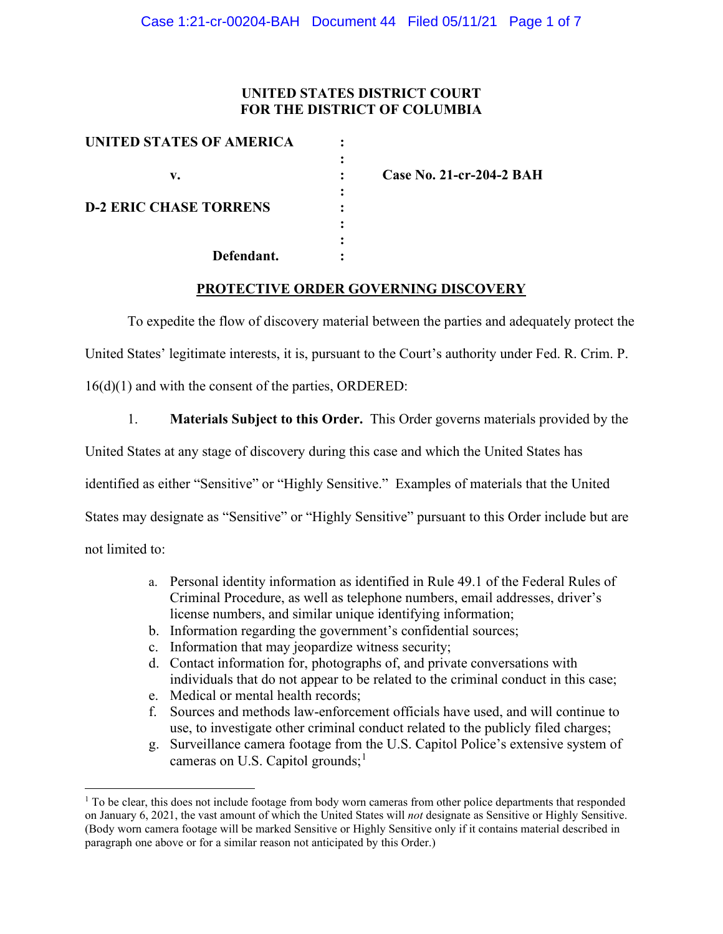## **UNITED STATES DISTRICT COURT FOR THE DISTRICT OF COLUMBIA**

| UNITED STATES OF AMERICA      |  |
|-------------------------------|--|
|                               |  |
| v.                            |  |
|                               |  |
| <b>D-2 ERIC CHASE TORRENS</b> |  |
|                               |  |
|                               |  |
| Defendant.                    |  |

**v. : Case No. 21-cr-204-2 BAH**

## **PROTECTIVE ORDER GOVERNING DISCOVERY**

To expedite the flow of discovery material between the parties and adequately protect the

United States' legitimate interests, it is, pursuant to the Court's authority under Fed. R. Crim. P.

16(d)(1) and with the consent of the parties, ORDERED:

1. **Materials Subject to this Order.** This Order governs materials provided by the

United States at any stage of discovery during this case and which the United States has

identified as either "Sensitive" or "Highly Sensitive." Examples of materials that the United

States may designate as "Sensitive" or "Highly Sensitive" pursuant to this Order include but are

not limited to:

- a. Personal identity information as identified in Rule 49.1 of the Federal Rules of Criminal Procedure, as well as telephone numbers, email addresses, driver's license numbers, and similar unique identifying information;
- b. Information regarding the government's confidential sources;
- c. Information that may jeopardize witness security;
- d. Contact information for, photographs of, and private conversations with individuals that do not appear to be related to the criminal conduct in this case;
- e. Medical or mental health records;
- f. Sources and methods law-enforcement officials have used, and will continue to use, to investigate other criminal conduct related to the publicly filed charges;
- g. Surveillance camera footage from the U.S. Capitol Police's extensive system of cameras on U.S. Capitol grounds;<sup>1</sup>

<sup>&</sup>lt;sup>1</sup> To be clear, this does not include footage from body worn cameras from other police departments that responded on January 6, 2021, the vast amount of which the United States will *not* designate as Sensitive or Highly Sensitive. (Body worn camera footage will be marked Sensitive or Highly Sensitive only if it contains material described in paragraph one above or for a similar reason not anticipated by this Order.)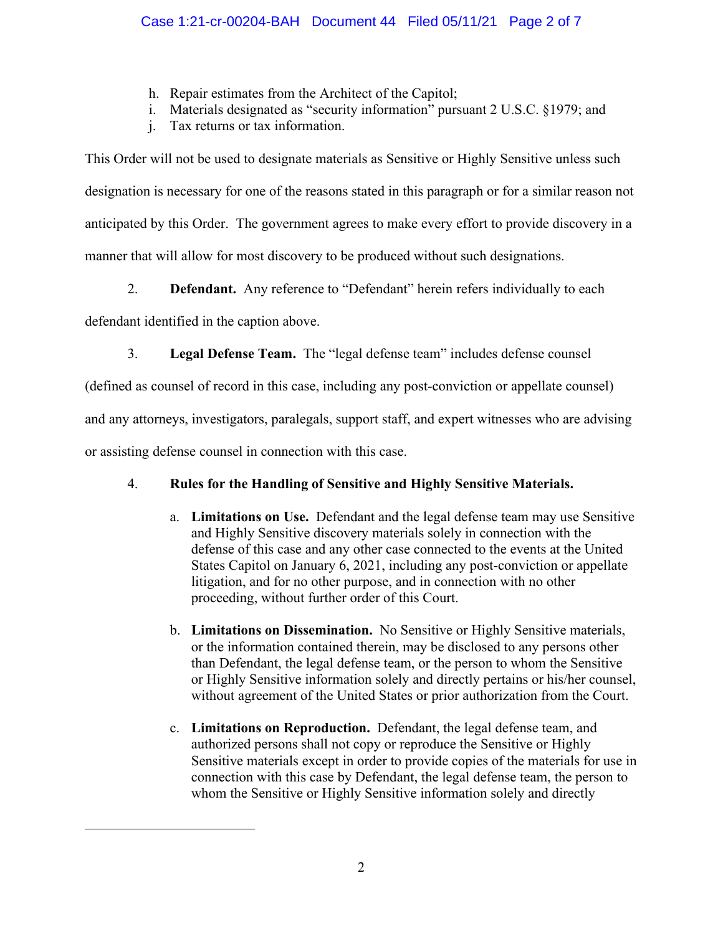- h. Repair estimates from the Architect of the Capitol;
- i. Materials designated as "security information" pursuant 2 U.S.C. §1979; and
- j. Tax returns or tax information.

This Order will not be used to designate materials as Sensitive or Highly Sensitive unless such designation is necessary for one of the reasons stated in this paragraph or for a similar reason not anticipated by this Order. The government agrees to make every effort to provide discovery in a manner that will allow for most discovery to be produced without such designations.

2. **Defendant.** Any reference to "Defendant" herein refers individually to each

defendant identified in the caption above.

3. **Legal Defense Team.** The "legal defense team" includes defense counsel

(defined as counsel of record in this case, including any post-conviction or appellate counsel)

and any attorneys, investigators, paralegals, support staff, and expert witnesses who are advising

or assisting defense counsel in connection with this case.

## 4. **Rules for the Handling of Sensitive and Highly Sensitive Materials.**

- a. **Limitations on Use.** Defendant and the legal defense team may use Sensitive and Highly Sensitive discovery materials solely in connection with the defense of this case and any other case connected to the events at the United States Capitol on January 6, 2021, including any post-conviction or appellate litigation, and for no other purpose, and in connection with no other proceeding, without further order of this Court.
- b. **Limitations on Dissemination.** No Sensitive or Highly Sensitive materials, or the information contained therein, may be disclosed to any persons other than Defendant, the legal defense team, or the person to whom the Sensitive or Highly Sensitive information solely and directly pertains or his/her counsel, without agreement of the United States or prior authorization from the Court.
- c. **Limitations on Reproduction.** Defendant, the legal defense team, and authorized persons shall not copy or reproduce the Sensitive or Highly Sensitive materials except in order to provide copies of the materials for use in connection with this case by Defendant, the legal defense team, the person to whom the Sensitive or Highly Sensitive information solely and directly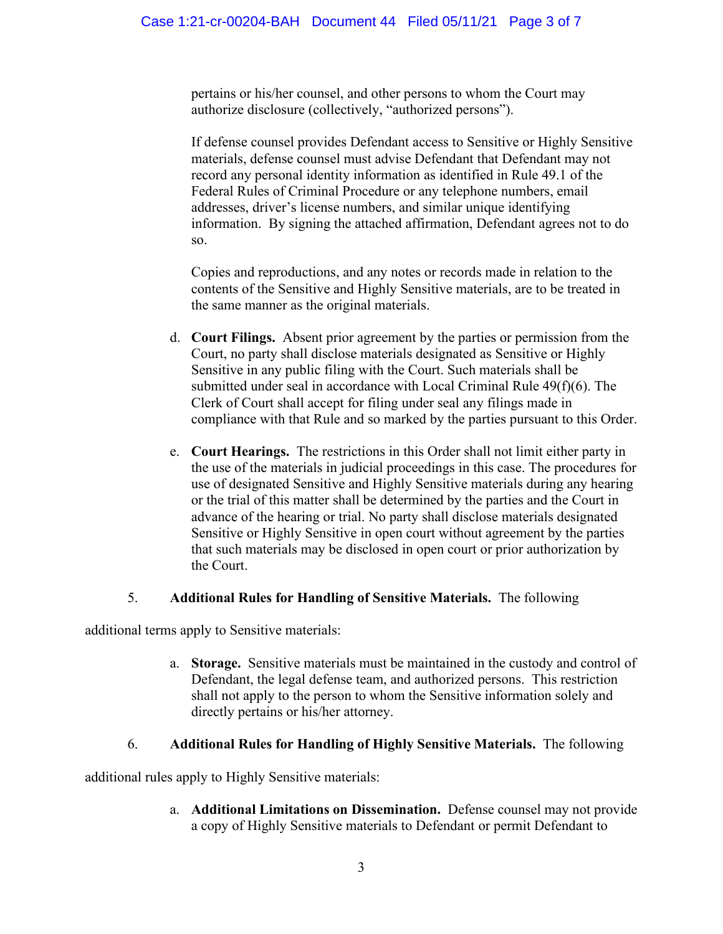pertains or his/her counsel, and other persons to whom the Court may authorize disclosure (collectively, "authorized persons").

If defense counsel provides Defendant access to Sensitive or Highly Sensitive materials, defense counsel must advise Defendant that Defendant may not record any personal identity information as identified in Rule 49.1 of the Federal Rules of Criminal Procedure or any telephone numbers, email addresses, driver's license numbers, and similar unique identifying information. By signing the attached affirmation, Defendant agrees not to do so.

Copies and reproductions, and any notes or records made in relation to the contents of the Sensitive and Highly Sensitive materials, are to be treated in the same manner as the original materials.

- d. **Court Filings.** Absent prior agreement by the parties or permission from the Court, no party shall disclose materials designated as Sensitive or Highly Sensitive in any public filing with the Court. Such materials shall be submitted under seal in accordance with Local Criminal Rule 49(f)(6). The Clerk of Court shall accept for filing under seal any filings made in compliance with that Rule and so marked by the parties pursuant to this Order.
- e. **Court Hearings.** The restrictions in this Order shall not limit either party in the use of the materials in judicial proceedings in this case. The procedures for use of designated Sensitive and Highly Sensitive materials during any hearing or the trial of this matter shall be determined by the parties and the Court in advance of the hearing or trial. No party shall disclose materials designated Sensitive or Highly Sensitive in open court without agreement by the parties that such materials may be disclosed in open court or prior authorization by the Court.

## 5. **Additional Rules for Handling of Sensitive Materials.** The following

additional terms apply to Sensitive materials:

a. **Storage.** Sensitive materials must be maintained in the custody and control of Defendant, the legal defense team, and authorized persons. This restriction shall not apply to the person to whom the Sensitive information solely and directly pertains or his/her attorney.

## 6. **Additional Rules for Handling of Highly Sensitive Materials.** The following

additional rules apply to Highly Sensitive materials:

a. **Additional Limitations on Dissemination.** Defense counsel may not provide a copy of Highly Sensitive materials to Defendant or permit Defendant to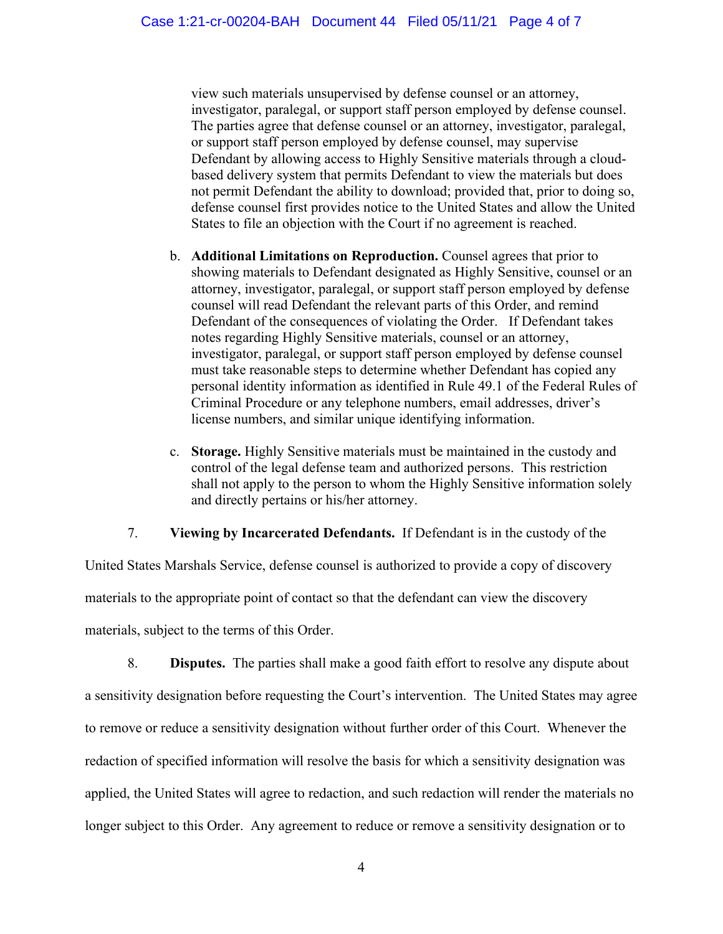view such materials unsupervised by defense counsel or an attorney, investigator, paralegal, or support staff person employed by defense counsel. The parties agree that defense counsel or an attorney, investigator, paralegal, or support staff person employed by defense counsel, may supervise Defendant by allowing access to Highly Sensitive materials through a cloudbased delivery system that permits Defendant to view the materials but does not permit Defendant the ability to download; provided that, prior to doing so, defense counsel first provides notice to the United States and allow the United States to file an objection with the Court if no agreement is reached.

- b. **Additional Limitations on Reproduction.** Counsel agrees that prior to showing materials to Defendant designated as Highly Sensitive, counsel or an attorney, investigator, paralegal, or support staff person employed by defense counsel will read Defendant the relevant parts of this Order, and remind Defendant of the consequences of violating the Order. If Defendant takes notes regarding Highly Sensitive materials, counsel or an attorney, investigator, paralegal, or support staff person employed by defense counsel must take reasonable steps to determine whether Defendant has copied any personal identity information as identified in Rule 49.1 of the Federal Rules of Criminal Procedure or any telephone numbers, email addresses, driver's license numbers, and similar unique identifying information.
- c. **Storage.** Highly Sensitive materials must be maintained in the custody and control of the legal defense team and authorized persons. This restriction shall not apply to the person to whom the Highly Sensitive information solely and directly pertains or his/her attorney.

## 7. **Viewing by Incarcerated Defendants.** If Defendant is in the custody of the

United States Marshals Service, defense counsel is authorized to provide a copy of discovery materials to the appropriate point of contact so that the defendant can view the discovery materials, subject to the terms of this Order.

8. **Disputes.** The parties shall make a good faith effort to resolve any dispute about a sensitivity designation before requesting the Court's intervention. The United States may agree to remove or reduce a sensitivity designation without further order of this Court. Whenever the redaction of specified information will resolve the basis for which a sensitivity designation was applied, the United States will agree to redaction, and such redaction will render the materials no longer subject to this Order. Any agreement to reduce or remove a sensitivity designation or to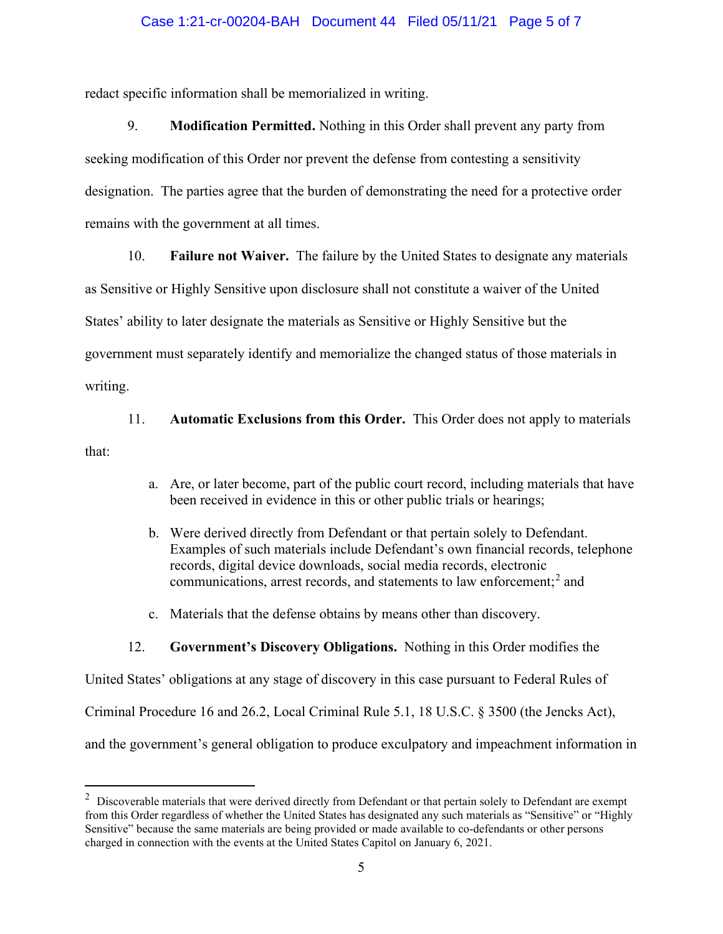#### Case 1:21-cr-00204-BAH Document 44 Filed 05/11/21 Page 5 of 7

redact specific information shall be memorialized in writing.

9. **Modification Permitted.** Nothing in this Order shall prevent any party from seeking modification of this Order nor prevent the defense from contesting a sensitivity designation. The parties agree that the burden of demonstrating the need for a protective order remains with the government at all times.

10. **Failure not Waiver.** The failure by the United States to designate any materials

as Sensitive or Highly Sensitive upon disclosure shall not constitute a waiver of the United States' ability to later designate the materials as Sensitive or Highly Sensitive but the

government must separately identify and memorialize the changed status of those materials in

writing.

11. **Automatic Exclusions from this Order.** This Order does not apply to materials

that:

- a. Are, or later become, part of the public court record, including materials that have been received in evidence in this or other public trials or hearings;
- b. Were derived directly from Defendant or that pertain solely to Defendant. Examples of such materials include Defendant's own financial records, telephone records, digital device downloads, social media records, electronic communications, arrest records, and statements to law enforcement; <sup>2</sup> and
- c. Materials that the defense obtains by means other than discovery.

#### 12. **Government's Discovery Obligations.** Nothing in this Order modifies the

United States' obligations at any stage of discovery in this case pursuant to Federal Rules of Criminal Procedure 16 and 26.2, Local Criminal Rule 5.1, 18 U.S.C. § 3500 (the Jencks Act), and the government's general obligation to produce exculpatory and impeachment information in

 $2$  Discoverable materials that were derived directly from Defendant or that pertain solely to Defendant are exempt from this Order regardless of whether the United States has designated any such materials as "Sensitive" or "Highly Sensitive" because the same materials are being provided or made available to co-defendants or other persons charged in connection with the events at the United States Capitol on January 6, 2021.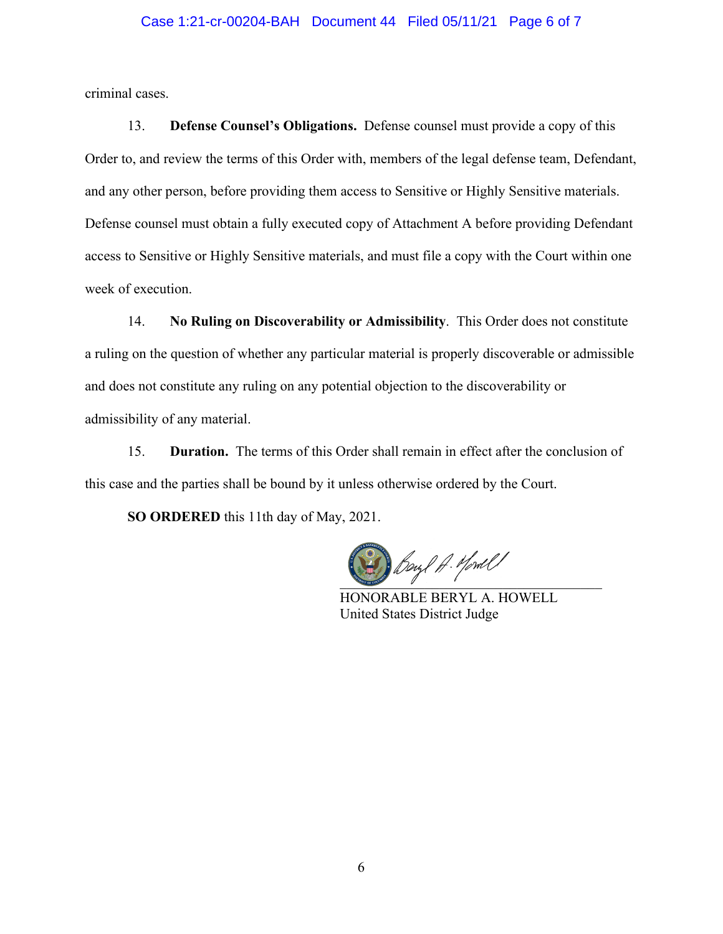#### Case 1:21-cr-00204-BAH Document 44 Filed 05/11/21 Page 6 of 7

criminal cases.

13. **Defense Counsel's Obligations.** Defense counsel must provide a copy of this Order to, and review the terms of this Order with, members of the legal defense team, Defendant, and any other person, before providing them access to Sensitive or Highly Sensitive materials. Defense counsel must obtain a fully executed copy of Attachment A before providing Defendant access to Sensitive or Highly Sensitive materials, and must file a copy with the Court within one week of execution.

14. **No Ruling on Discoverability or Admissibility**. This Order does not constitute a ruling on the question of whether any particular material is properly discoverable or admissible and does not constitute any ruling on any potential objection to the discoverability or admissibility of any material.

15. **Duration.** The terms of this Order shall remain in effect after the conclusion of this case and the parties shall be bound by it unless otherwise ordered by the Court.

**SO ORDERED** this 11th day of May, 2021.

\_\_\_\_\_\_\_\_\_\_\_\_\_\_\_\_\_\_\_\_\_\_\_\_\_\_\_\_\_\_\_\_\_\_\_\_\_

HONORABLE BERYL A. HOWELL United States District Judge